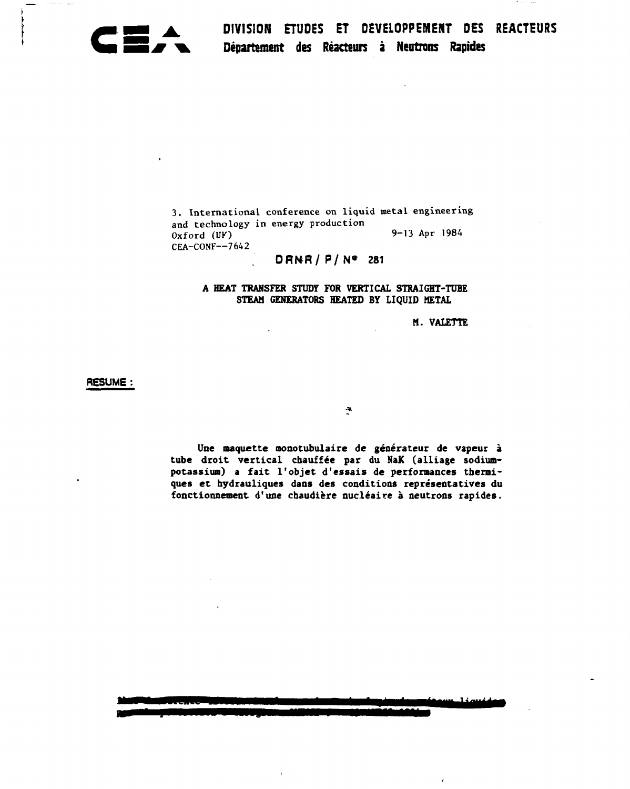

**I DIVISION ETUDES ET DEVELOPPEMENT DES REACTEURS % Département des Réacteurs à Neutrons Rapides** 

3. International conference on liquid metal engineering and technology in energy production  $Oxford$  (UF)  $Ox$   $9-13$  Apr 1984 CEA-CONF—7642

# **DRNR/ P/ N» 281**

# **A HEAT TRANSFER STUDY FOR VERTICAL STRAIGHT-TUBE STEAM GENERATORS HEATED BY LIQUID METAL**

# **M. VALETTE**

**RESUME:** 

**Une naquette nonotubulaire de générateur de vapeur à tube droit vertical chauffée par du NaK (alliage sodiumpotassium) a fait l'objet d'essais de performances thermiques et hydrauliques dans des conditions représentatives du fonctionnement d'une chaudière nucléaire à neutrons rapides.** 

 $1 - 1$ 

 $\ddot{\bullet}$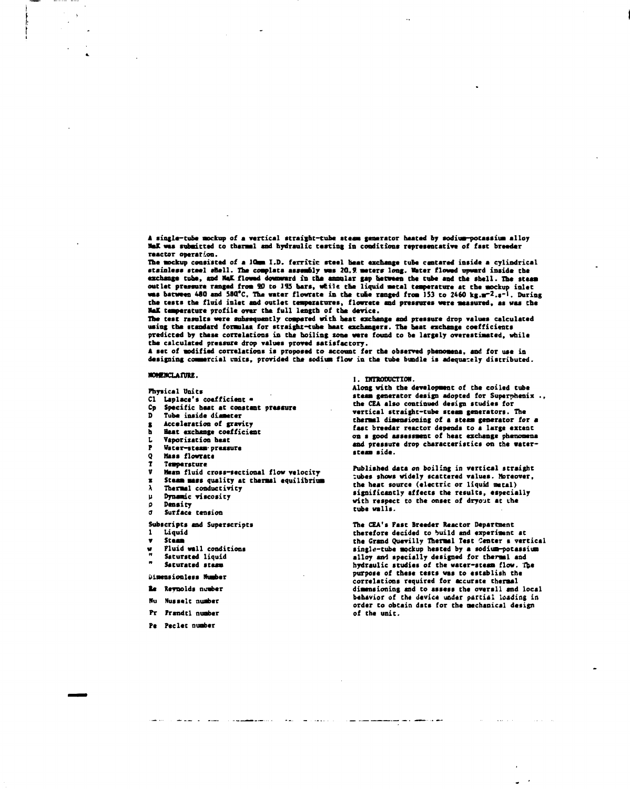**A single-tube aockup of a vertical straight-tube steam ganerator haatad by sodium-potassium alloy NaK** was submitted to thermal and hydraulic testing in conditions representative of fast breeder **reactor opérer-Ion.** 

The mockup consisted of a lOmm I.D. ferritic steel beat exchange tube centared inside a cylindrical stainless steel shell. The complate assembly was 20.9 meters long. Water flowed upward inside the **exchange cube, and Mat flowed downward in the annular gap between the tube and tba sball. The steaa outlet pressure ranged froa 90 to J15 bare, «tile tha liquid aatal temperature at the aockup inlet**  was batween 480 and 580°C. The water flowrate in the tube ranged from 153 to 2460 kg.m<sup>-2</sup>.<sup>2-1</sup>. During **tha teats tba fluid inlet and outlet temperatures, flowrata and pressures «are aeaaured, es was the RaK teaperature profile over tha full length of tha device.** 

**The teat results «are subsequently coapared with heat exchange and pressure drop values calculated using the standard foraulaa for straight-tube heat exchangers. The beat exchange coefficients predicted by these correlations in the boiling tone «ere found to be largely overestimated, while the calculated pressure drop values proved satisfactory.** 

**A set of modified correlations is proposed to account far the observed pbenoaena, and for use in designing commercial units, provided tha sodium flow in the tube bundle is adequately distributed.** 

#### **MOMENCLATIRE.**

 $\overline{a}$ 

**Physical Units** 

- **CI Laplace's coefficient**
- **Cp Specific beat at constant pressure**
- **D Tuba inside disaster**
- **g Acceleration of gravity**
- **h Beat exchange coefficient L Vaporization heat**
- **P Water-steam- pressure**
- **Q Mass flowrate**
- **T Teaparature**
- **Mean fluid cross-sectional flow velocity**
- 

and the component of the contract of the

- **x Steaa mass quality at thermal equilibriua**  *\* **Thermal conductivity**
- 
- **p Dynamic viscosity p Density**
- *a* **Surface tension**

# **Subscripts and Superscripts**

**1 Liquid** 

**v Staaa** 

- **w Fluid «all conditions**
- Satursted liquid
- **" Saturated steam**

## **biaeasiouless Number**

- **le Reynolds number**
- **llu Nusselt number**
- **Pr Frandtl number**
- **Pe Peclec number**

#### **1. Ufl'KUDUCTIOH.**

**Along with the development of the coiled tube steaa generator design adopted for Supernhenix ., the CEA also continued design studies for vertical straight-tube steaa generators. The therasl dimensioning of a steaa generator for a fast breeder reactor depends to a large extent on a good assessment of heat exchange phenomena and pressure drop characteristics on the waterstaaa side.** 

**Published data on boiling in vertical straight :ubes shows widely scattered values. Moreover, the heat source (electric or liquid metal) significantly affects the results, especially with respect to the onset of dryout at the tube walls.** 

**The CEA's Past Breeder Reactor Department therefore decided to build and experiaent at the Grand Quevilly Therasl Test Center s verticsl singl«-tube aockup heated by a sodium-potassium alloy and specially designed for thermal and hydraulic studies of the water-steaa flow. The purpose of these tests was to establish the correlations required for accurate thermal dimensioning and to assess the overall and local behavior of the device under partial loading in order to obtain data for the aechanical design of the unit.** 

المنصر عدادته

**Contract Contract**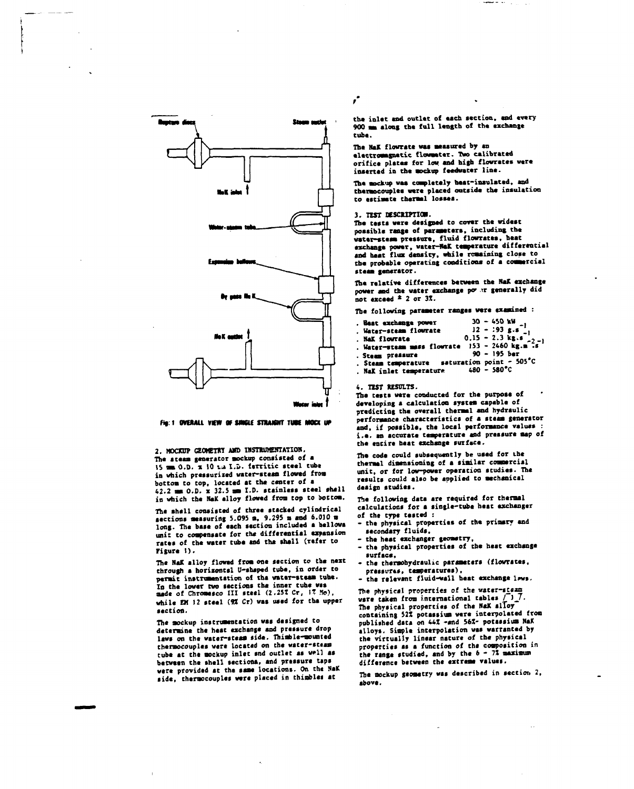

#### *fig: 1 OVERALL VIEW OF SINGLE STRAIGHT TUBE MOCK UP*

**2. M0OCUP GEOMETRY AMD INSTRUMENTATION, The steam generator mockup consisted of a IS mm O.D. x 10 u I.v. ferritic steel tube in which pressurised water-steam flowed from bottom co cop, located at the center of a 42.2 mm 0.0. x 32.S mm I.D. stainless steel shell in which the NaK alloy flowed from top to bottom.** 

**The shell consisted of three stacked cylindrical sections measuring 5.095 m, 9.295 m and 6.010 m long. The base of each section included a bellows unit to compensate for the differential expansion rates of the water tube and tha shell (refer to Figure I).** 

**The NaK alloy flowed from one section to cba next through a horizontal U-shaped tube, in order to permit instrumentation of the water-steam tube. In the lower two sections the inner tube was made of Chromesco III steel (2.257 Cr,** *\%* **1o),**  while EM 12 steel (9% Cr) was used for the upper **section.** 

**The mockup instrumentation was designed co determine the heat exchange and pressure drop lsws on the water-steam side. Thimble-mounted thermocouples were locsced on the water-sttan**  tube at the mockup inlet snd outlet as well as **between the shell section», and pressure taps were provided at the same locations. On the NaK side, thermocouples were placed in thimblei at** 

*r* 

the inlet and outlet of each section, and every **900 mm along the full length of the exchange tube.** 

**The NaK flowrate waa measured by an electromagnetic flowmeter. Two calibrated**  orifice plates for low and high flowrates were **inserted in the mockup feedwater line.** 

The mockup was completely heat-insulated, and **thermocouples were placed outside the insulation to estimate thermal losses.** 

### 3. TEST DESCRIPTION.

**The tests were designed to cover the widest possible rsaga of parameter», including the**  water-steam pressure, fluid flowrates, heat **exchange power, water-HaK température differential and heat flux density, while remaining close to the probable operating conditions of a commercial steam generator.** 

**The relative differences between the NaK exchange power and the water exchange po» -r generally did not exceed \* 2 or 3Ï.** 

**The following parameter ranges were examined :** 

| . Beat exchange power<br>. Water-steam flow<br>rate $12 - 193 g.s_{-1}$<br>. NaK flow<br>rate $0.15 - 2.3 kg.s_{-2}$<br>. Water-steam mass flow<br>rate $153 - 2460 kg.m.s$ |                       |
|-----------------------------------------------------------------------------------------------------------------------------------------------------------------------------|-----------------------|
|                                                                                                                                                                             |                       |
|                                                                                                                                                                             |                       |
|                                                                                                                                                                             |                       |
| . Steam pressure                                                                                                                                                            | $90 - 195$ ber        |
| . Steam temperature saturation point - 505°C                                                                                                                                |                       |
| . Nak inlet temperature                                                                                                                                                     | $480 - 580^{\circ}$ C |

**4. TEST RESULTS.** 

**The tests were conducted for the purpose of developing a calculation system capable of predicting the overall thermal and hydraulic performance characteristics of a steam generator and, if possible, the local performance values : i.a. an accurate temperature and pressure map of the entire beat exchange surface.** 

**The code could subsequently be used for the thermal dimensioning of a similar commercial unit, or for low-power operation studies. The results could also be applied to mechanical design studies.** 

**The following data are required for thermal calculations for a single-tube heat exchanger of the type cesced :** 

- **the physical properties of the primary and**
- secondary fluids,<br>- the heat exchanger geometry,
- **the heat exchanger geometry, - the physical properties of the heat exchange**
- **surface, - the thermohydraulie parameters (flowrates,** 
	- **pressures, temperatures),**
- **the relevant fluid-wall beat exchange lnws.**

The physical properties of the water-staam **were taken from international tables /** *ij .*  **The physical properties of the NaK alloy containing 52Z potassium were interpolated from published data on 44Z -and 56Î- potassium NaK alloys. Simple interpolation was warranted by the virtually linear nature of the physical properties as a function of the composition in**  the range studied, and by the  $6 - 72$  maximum **difference between the extreme values.** 

**The mockup geometry was described in section** *2,*  **above.**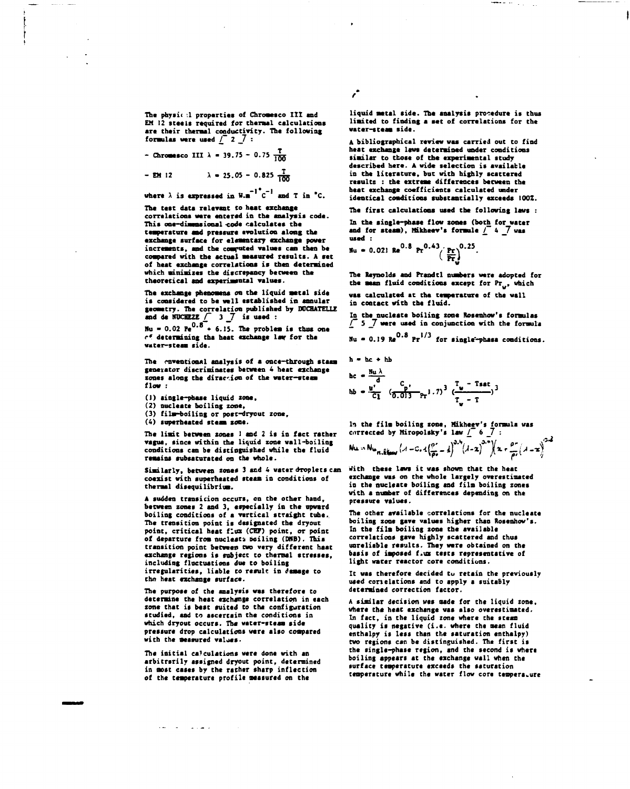**The physic .1 properties of Chroaesco III and EM 12 steels required for thermal calculations are their thermal conductivity. The following**  formulas were used  $\int$  2  $\int$  :

**- Chromesco III**  $\lambda$  = 39.75 - 0.75  $\frac{1}{100}$ 

**EM 12** 
$$
\lambda = 25.05 - 0.825 \frac{T}{100}
$$

where  $\lambda$  is expressed in  $W.A^{-1}C^{-1}$  and T in  $^{\bullet}C.$ 

**The test data relevant to heat exchance correlations ware entered in the analysis code. This one-diaaosional -code calculates the teaperature and pressure evolution along the exchange surface for elementary exchange power increments, and the computed values can then be compared with the actual measured results. A set of heat exchange correlations is then determined which minimizes the discrepancy between the theoretical and experimental values.** 

**The exchange phenomena on the liquid metal sida is considered to be well established in annular geometry. The correlation published by DCCHATELLE and da NOCHEZE** *f* **3 \_7 is used :** 

 $Nu = 0.02 \text{ Pe}^{0.8}$  + 6.15. The problem is thus one *r\*.* **determining the heat exchange law for the water-steaa side.** 

**The rnventional analysis of a once-through steaa generator discriminates between 4 heat exchange zones along the direction of the water-steam flow :** 

**(1) single-phase liquid zone,** 

**(2) nucleate boiling zone,** 

**(3) film-boiling or post-dryout zone,** 

**(4) superheated steam cone.** 

**The liait between zones I and 2 is in fact rather vague, since within the liquid zone wall-boiling conditions can be distinguished while the fluid remains subssturatcd on Che whole.** 

**Similarly, between zones 3 and 4 water droplets can coexist with superheated steam in conditions of thermal disequilibrium.** 

**A sudden cransicion occurs, on the other hand, between zones 2 and 3, «specially in the upward boiling conditions of a vertical straight cube. The cransicion point is designated the dryout point, critical heat flux (CEP) point, or point of departure from nucleati boiling (DKB). This transition point between two very different heat exchange regions is subject to charmai scresses, including floccuacions due co boiling irregularicies, liable co result in damage co thn heat exchange surface.** 

**The purpose of chc snslysis was chereforc co determine che hcac exchange correlation in each zone that is base suited co the configuration scudied, and to ascercain che conditions in which dryouc occurs. The water-steam side pressure drop calculations were also eoapared with the measured valjes-**

**The initial calculations were done with an arbitrarily assigned dryouc poinc, determined in most cases by chc rather sharp inflection of ehe temperature profile measured on the** 

د سال د

**liquid metal side. The analysis procedure is thus limited to finding a set of correlations for the water-steaa side.** 

**A bibliographical review was carried out to find heat exchange laws determined under conditions similar to those of the experimental study described here. A wide selection is available in the literature, but with highly scattered reaults : the extreae differences between the beat exchange coefficients calculated under identical conditions substantially exceeds I0OZ.** 

**The first calculations used the following laws :** 

**In the single-phase flow zones (both for water and for steaa), Mikhecv's formule** *£"* **4 7 was used : ~** 

$$
Nu = 0.021 \text{ Re}^{0.8} \text{ Pr}^{0.43} \left(\frac{\text{Pr}}{\text{Pr}}\right)^{0.25}.
$$

**The Reynolds and Prandtl numbers were adopted for**  the mean fluid conditions except for Pr<sub>1</sub>, which **was calculated at the temperature of the wall in contact with the fluid.** 

In the nucleate boiling zone Rosenhow's formulas *l\_* **5 \_7 were used in conjunction with the formula**   $Nu = 0.19$   $Re^{0.8}$   $Pr^{1/3}$  for single<sup>2</sup>-phase conditions.

h = hc + hb  
hc = 
$$
\frac{Nu\lambda}{d}
$$
  
hb =  $\frac{u'}{c_1}$   $\frac{c_p}{(0.013 \text{ F}^{-1.7})^3} (\frac{T_v - \text{Tsat}}{T_v - T})^3$ 

**In the film boiling zone, Mikheev's formula was currected by Miropolsky's law** *l\_* **6 \_7**   $Nu \cdot Nu_{n,ikluv}$  $(A-C, 4\frac{p^2}{p^2}-\frac{1}{4}\right)^{3.4}(A-x)^{3.5}\Big[(x+\frac{p^2}{p^2}(A-x))^{3.4}]$ 

**With these laws it was shown that the heat exchange was on the whole largely overestimated in the nucleate boiling and film boiling zones with a number of differences depending on the pressure values.** 

**The other available correlations for the nuclesce boiling zone gave values higher than Rosenhov's. In the film boiling zone the available correlations gave highly scattered and chus unreliable results. They were obtained on the baais of imposed f.ux tests representative of light water reactor core conditions.** 

**It was therefore decided tu retain the previously used constations and to apply a suitably determined correction faccor.** 

**A similar decision wss made for che liquid zone, where che heac exchange was also overestimated.**  In fact, in the liquid zone where the steam **quality is negative (i.e. where che mean fluid enthalpy is less Chan che sacuracion enchalpy) two regions can be distinguished. The first is the single-phase region, and the second is where boiling appears at che exchange wall when che surface temperature exceeds the ssturacion cemperscure while the water flow core temperature** 

*r*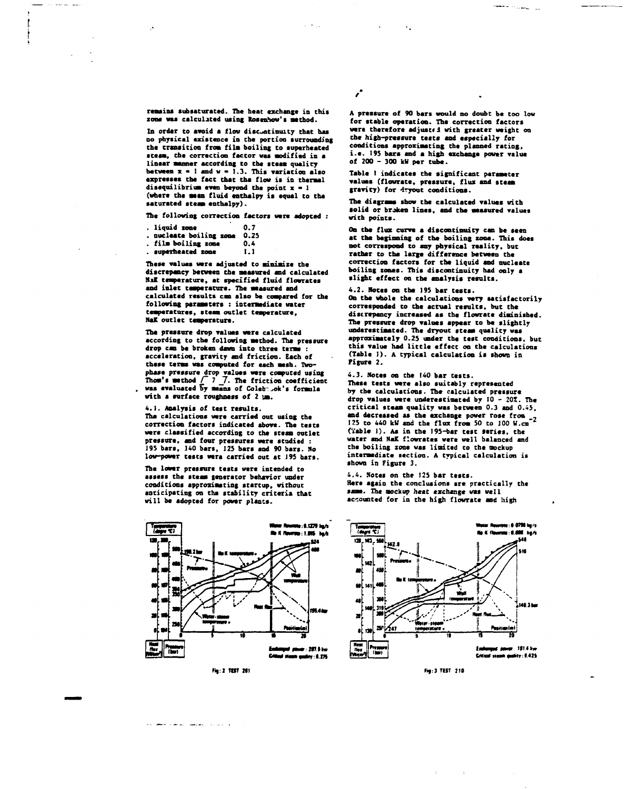remains subsaturated. The heat exchange in this **zone «aa calculated uaing Rosenhow's aethod.** 

In order to avoid a flow disc<sub>ontinuity that has</sub> **no physical existence in the portion surrounding the transition froa fila boiling to superheated steam, the correction factor was aodified in a linear manner according to the steaa quality between x • I and w » 1.3. This variation alao axpreaaes the fact that the flow is in thermal disequilibrium even beyond the point x > 1 (where the aean fluid enthalpy ia equal to the aaturated steaa enthalpy).** 

**The following correction factors were adopted :** 

| . liquid zone                                                                                                   | 0.7 |
|-----------------------------------------------------------------------------------------------------------------|-----|
| . nucleate boiling zone 0.25                                                                                    |     |
| Alia Lalifica accessive and the contract of the contract of the contract of the contract of the contract of the | . . |

**fila boiling zona auparhcatcd zone 0.4 1.1** 

**These values ware adjusted to minimize the**  discrepancy between the measured and calculated **Nil temperature, at specified fluid flovratea and inlet temperature. The measured and calculated reaults can alao be compared for the following paraaeters : intermediate water temperatures, steam outlet temperature, HaK outlet température.** 

**The pressure drop values were calculated according to the following aethod. The pressure drop can be broken dawn into three tens : acceleration, gravity and friction. Each of these terms was computed for each mesh. Twophase pressure drop values ware coaputed uaing Thorn's aethod /" 7 \_7. The friction coefficient waa evaluated by aeana of Coleb-^ok's formula with a surface roughness of 2 pa.** 

**4.1. Analysis of test results.** 

**The calculations were carried out using the correction factors indicated above. The tests were classified according to the steaa outlet pressure, and four pressures were studied : 195 bars, J40 bars, 125 bars and 90 bars. No low-power tests were carried out at 195 bars.** 

**The lower pressure tests were intended to assess the steaa generator behavior under conditions approximating startup, without anticipating on the stability criteria that will be adopted for power plants.** 



لوادين للانتهضاء المنشاء مكاردة

**A pressure of 90 bars would no doubt be too low for stable operation. The correction factors**  were therefore adjusted with greater weight on **the high-pressure tests and especially for conditions approximating the planned rating, i.e. 195 bare and a high exchange power value of 200 - 300 kU per tube.** 

 $\mathbf{r}$ 

**Table 1 indicates the significant parameter values (flowrate, pressure, flux and steam gravity) for dryout conditions.** 

**The diagrams show the calculated values with solid or broken lines, and the measured values with points.** 

**On the flux curve a discontinuity can be seen at the beginning of the boiling zone. This does not correspond to any physical reality, but rather to the large difference between the correction factors for the liquid and nucleate boiling zones. This discontinuity had only a slight effect on the analysis results.** 

**4.2. Notes on the 195 bar testa. On the whole the calculations very satisfactorily corresponded to the actual results, but the discrepancy increased aa the flowrate diminished. The pressure drop values appear to be slightly underestimated. The dryout steam quality was approximately 0.25 under the test conditions, but this value had little effect on the calculations (Table I), A typical calculation is shown in Figure 2.** 

**4.3. Notes on the 140 bar tests. These tests were also suitably represented by the calculations. The calculated pressure drop values were underestimated by 10 -** *20Z.* **The critical steaa quality was between 0.3 and 0.45,**  and decreased as the exchange power rose from -2<br>125 to 440 kW and the flux from 50 to 100 W.cm <sup>2</sup> **(ïable I). Aa in the 195-bar test teries, the water and NaK flowrates were well balanced and the boiling zone was limited to the nockup intermediate section. A typical calculation is shown in Figure 3.** 

**4.4. Notes on the 125 bar tests. Here again the conclusions are practically the same. The aockup heat exchange vas well accounted for in the high flowrate and high** 

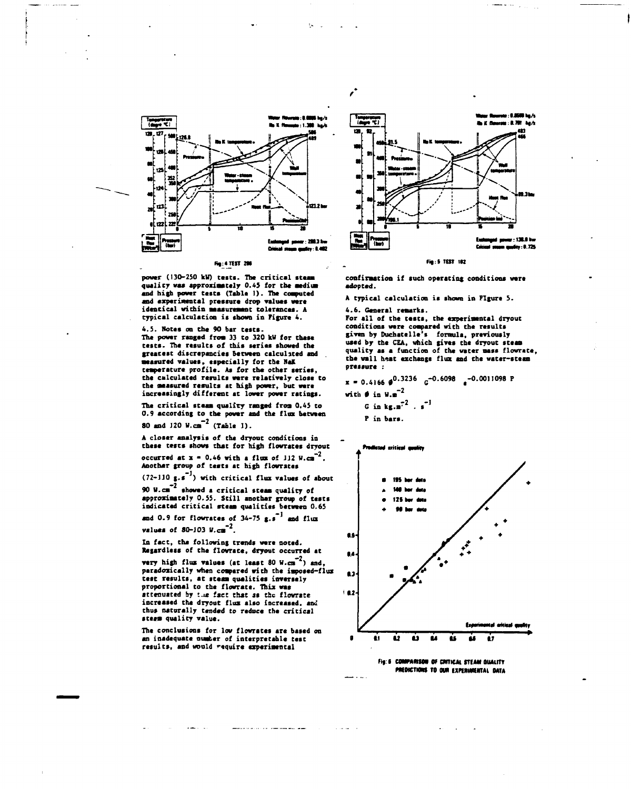

**power (130-250 kW) tasta. Tha critical ateaai quality waa approxiaataly 0.45 for the aaditai and high power taata (Tabla 1). Tha computed and experimental praaaura drop values vara identical within measurement tolarancea. A**  typical calculation is shown in Figure 4.

**4.5. Notes on Che 90 bar teats. The power ranged fro» 33 to 320 kV for thaae**  tests. The results of this series showed the **greacest discrepancies between calculated and aeasured values, especially for the HaK teaperature profile. As for the other series, the calculated results were relatively close to**  the measured results at high power, but were **increasingly différant at lower powar ratings.** 

**The critical «teas quality ranged froa 0.45 to 0.9 according to the power and the flax between**   $80$  and J20 W.cm<sup>-2</sup> (Table 1).

A closer analysis of the dryout conditions in **these tests shows that for high flowrates dryout occurred at**  $x = 0.46$  **with a flux of JJ2 W.cm<sup>-2</sup>.** 

**Another group of tests st high flowrates (72-110 g.s ) with critical flux values of about** 

**-2 90 W.cm showed a critical steam quality of approximately 0.55. Still another group of tests** 

**indicated critical steam qualities between 0.65 and 0.9 for flovrates of 34-75 g.s\*1 and flux** 

**values of 80-J03 W.cm"<sup>2</sup> .** 

**In fact, tha following trends were noted. Regardless of the flowrate, dryout occurred at**  $\text{very high flux values (at least 80 W.cm}^{-2})$  and, **paradoxically whan compared with the imposed-flus test results, at steam qualities inversely proportional to the flowrata. Thix was**  attenuated by the fact that as the flowrate **increaaed the dryout flux also increased, and thus naturally tended to reduce the critical steam quality value.** 

The conclusions for low flowrates are based on **an inadequate ouater of interprétable test**  results, and would require experimental

and continued to the company and the

والمتعاون



*f* 

## **fi|:S TUT III**

**confirmation if such operating conditions were adopted.** 

**A typical calculation is shown in Figure 5.** 

**4.6. General remarks. For all of the tests, the experimental dryout conditions were compared with the results given by Duchetelle's formula, previously used by the CEA, which gives the dryout steaa quality as a function of the water mass flowrate, the wall heat exchange flux and the water-steam pressure :** 

 $\mathbf{x} = 0.4166 \, \mathbf{\theta}^{0.3236} \quad \mathbf{G}^{-0.6098} \quad \mathbf{e}^{-0.0011098} \, \mathbf{P}$ **with**  $\theta$  in W.m<sup>-2</sup> *G* in  $k \pi . \pi^2$  .  $\pi^{-1}$ P in bars.



**Fig: 6 COMPARISON OF CRITICAL STEAM OUALITY** *MILDICTIONS TO OUR EXPERIMENTAL DATA*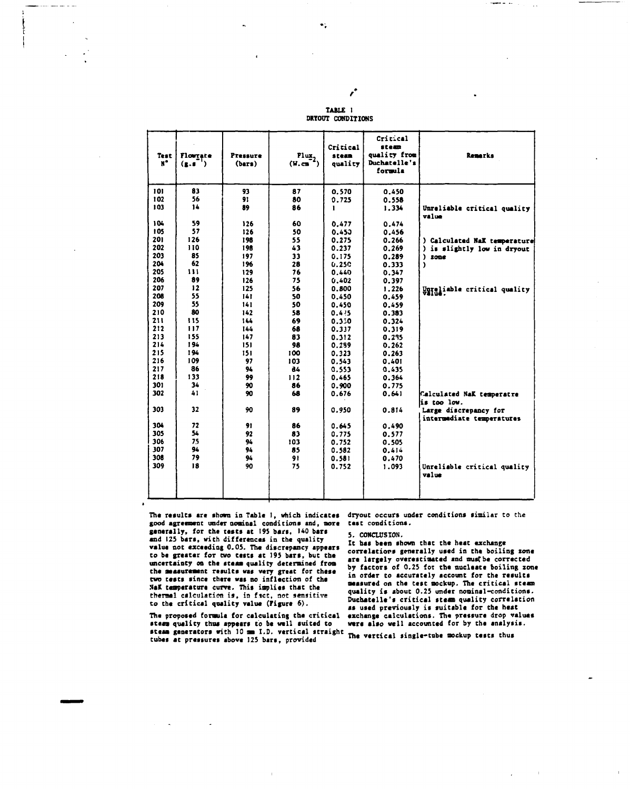| <b>UKIUUI CUNDITIONS</b> |                  |                              |                                                              |               |  |
|--------------------------|------------------|------------------------------|--------------------------------------------------------------|---------------|--|
| ē                        | Flux,<br>(V, cm) | Critical<br>steam<br>quality | Critical<br>steam<br>quality from<br>Duchatelle's<br>formula |               |  |
|                          | 87<br>80<br>86   | 0.570<br>0.725               | 0.450<br>0.558<br>1.334                                      | <b>Unreli</b> |  |

TABLE 1

ŕ.

| <b>Test</b><br>$\mathbf{N}^{\bullet}$ | Flowgate<br>(x.5) | Pressure<br>(bars) | $\frac{Flux}{(W.cm^2)}$ | steam<br>quality | quality from<br>Duchatelle's<br>formula | Remarks                                            |
|---------------------------------------|-------------------|--------------------|-------------------------|------------------|-----------------------------------------|----------------------------------------------------|
| 101                                   | 83                | 93                 | 87                      | 0.570            | 0.450                                   |                                                    |
| 102                                   | 56                | 91                 | 80                      | 0.725            | 0.558                                   |                                                    |
| 103                                   | 14                | 89                 | 86                      | 1                | 1.334                                   | Unreliable critical quality<br>value               |
| 104                                   | 59                | 126                | 60                      | 0.477            | 0.474                                   |                                                    |
| 105                                   | 57                | 126                | 50                      | 0.450            | 0.456                                   |                                                    |
| 201                                   | 126               | 198                | 55                      | 0.275            | 0.266                                   | ) Calculated NaK temperature                       |
| 202                                   | 110               | 198                | 43                      | 0.237            | 0.269                                   | is slightly low in dryout                          |
| 203                                   | 85                | 197                | 33                      | 0.175            | 0.289                                   | ١<br>zone                                          |
| 204                                   | 62                | 196                | 28                      | 0.25C            | 0.333                                   | <sup>1</sup>                                       |
| 205                                   | 111               | 129                | 76                      | 0.440            | 0.347                                   |                                                    |
| 206                                   | 89                | 126                | 75                      | 0.402            | 0.397                                   |                                                    |
| 207                                   | 12                | 125                | 56                      | 0.800            | 1.226                                   | Unreliable critical quality                        |
| 208                                   | 55                | 141                | 50                      | 0.450            | 0.459                                   |                                                    |
| 209                                   | 55                | 141                | 50                      | 0.450            | 0.459                                   |                                                    |
| 210                                   | 80                | 142                | 58                      | 0.4.75           | 0.383                                   |                                                    |
| 211                                   | 115               | 144                | 69                      | 0.330            | 0.324                                   |                                                    |
| 212                                   | 117               | 144                | 68                      | 0.337            | 0.319                                   |                                                    |
| 213                                   | 155               | 147                | 83                      | 0.312            | 0.235                                   |                                                    |
| 214                                   | 194               | 151                | 98                      | 0.299            | 0.262                                   |                                                    |
| 215                                   | 194               | 151                | 100                     | 0.323            | 0.263                                   |                                                    |
| 216                                   | 109<br>86         | 97                 | 103                     | 0.543            | 0.401                                   |                                                    |
| 217<br>218                            | 133               | 94                 | 84                      | 0.553            | 0.435                                   |                                                    |
| 301                                   | 34                | 99                 | 112                     | 0.465            | 0.364                                   |                                                    |
| 302                                   | 41                | 90<br>90           | 86<br>68                | 0.900            | 0.775                                   |                                                    |
|                                       |                   |                    |                         | 0.676            | 0.641                                   | Calculated NaK temperatre                          |
| 303                                   | 32                | 90                 | 89                      |                  |                                         | is too low.                                        |
|                                       |                   |                    |                         | 0.950            | 0.814                                   | Large discrepancy for<br>intermediate temperatures |
| 304                                   | 72                | 91                 | 86                      | 0.645            | 0.490                                   |                                                    |
| 305                                   | 54                | 92                 | 83                      | 0.775            | 0.577                                   |                                                    |
| 306                                   | 75                | 94                 | 103                     | 0.752            | 0.505                                   |                                                    |
| 307                                   | 94                | 94                 | 85                      | 0.582            | 0.414                                   |                                                    |
| 308                                   | 79                | 94                 | 91                      | 0.581            | 0.470                                   |                                                    |
| 309                                   | 18                | 90                 | 75                      | 0.752            | 1.093                                   | Unreliable critical quality<br>value               |
|                                       |                   |                    |                         |                  |                                         |                                                    |

The results are shown in Table 1, which indicates dryout occurs under conditions similar to the good agreement under nominal conditions and, more tast conditions. generally, for the tests at 195 bars, 140 bars and 125 bars, with differences in the quality value not exceeding 0.05. The discrepancy appears to be greater for two tests at 195 bars, but the uncertainty on the steam quality determined from the measurement results was very great for these two tests since there was no inflection of the NaK temperature curve. This implies that the thermal calculation is, in fact, not sensitive<br>to the critical quality value (Figure 6).

The proposed formula for calculating the critical steam quality thus appears to be well suited to steam quality thus appeals to we want well attaight<br>steam generators with 10 mm I.D. verticalish The vertical single-tube mockup tests thus tubes at pressures above 125 bars, provided

الدارك مصباة

#### 5. CONCLUSION.

It has been shown that the heat exchange correlations generally used in the boiling zone are largely overestimated and must be corrected by factors of 0.25 for the nucleate boiling zone in order to accurately account for the results measured on the test mockup. The critical steam quality is about 0.25 under nominal-conditions. Duchatelle's critical steam quality correlation as used previously is suitable for the heat exchange calculations. The pressure drop values were also well accounted for by the analysis.